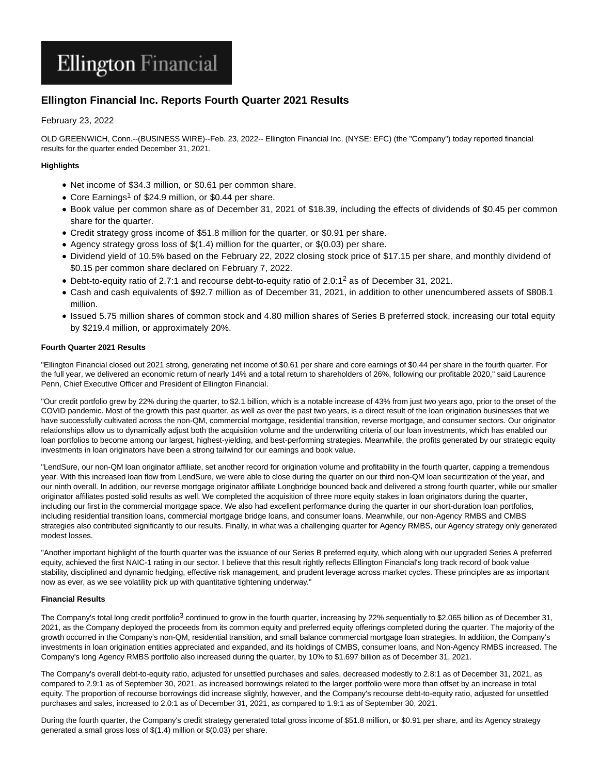# **Ellington Financial**

## **Ellington Financial Inc. Reports Fourth Quarter 2021 Results**

## February 23, 2022

OLD GREENWICH, Conn.--(BUSINESS WIRE)--Feb. 23, 2022-- Ellington Financial Inc. (NYSE: EFC) (the "Company") today reported financial results for the quarter ended December 31, 2021.

## **Highlights**

- Net income of \$34.3 million, or \$0.61 per common share.
- Core Earnings<sup>1</sup> of \$24.9 million, or \$0.44 per share.
- Book value per common share as of December 31, 2021 of \$18.39, including the effects of dividends of \$0.45 per common share for the quarter.
- Credit strategy gross income of \$51.8 million for the quarter, or \$0.91 per share.
- Agency strategy gross loss of  $$(1.4)$  million for the quarter, or  $$(0.03)$  per share.
- Dividend yield of 10.5% based on the February 22, 2022 closing stock price of \$17.15 per share, and monthly dividend of \$0.15 per common share declared on February 7, 2022.
- Debt-to-equity ratio of 2.7:1 and recourse debt-to-equity ratio of 2.0:1<sup>2</sup> as of December 31, 2021.
- Cash and cash equivalents of \$92.7 million as of December 31, 2021, in addition to other unencumbered assets of \$808.1 million.
- Issued 5.75 million shares of common stock and 4.80 million shares of Series B preferred stock, increasing our total equity by \$219.4 million, or approximately 20%.

## **Fourth Quarter 2021 Results**

"Ellington Financial closed out 2021 strong, generating net income of \$0.61 per share and core earnings of \$0.44 per share in the fourth quarter. For the full year, we delivered an economic return of nearly 14% and a total return to shareholders of 26%, following our profitable 2020," said Laurence Penn, Chief Executive Officer and President of Ellington Financial.

"Our credit portfolio grew by 22% during the quarter, to \$2.1 billion, which is a notable increase of 43% from just two years ago, prior to the onset of the COVID pandemic. Most of the growth this past quarter, as well as over the past two years, is a direct result of the loan origination businesses that we have successfully cultivated across the non-QM, commercial mortgage, residential transition, reverse mortgage, and consumer sectors. Our originator relationships allow us to dynamically adjust both the acquisition volume and the underwriting criteria of our loan investments, which has enabled our loan portfolios to become among our largest, highest-yielding, and best-performing strategies. Meanwhile, the profits generated by our strategic equity investments in loan originators have been a strong tailwind for our earnings and book value.

"LendSure, our non-QM loan originator affiliate, set another record for origination volume and profitability in the fourth quarter, capping a tremendous year. With this increased loan flow from LendSure, we were able to close during the quarter on our third non-QM loan securitization of the year, and our ninth overall. In addition, our reverse mortgage originator affiliate Longbridge bounced back and delivered a strong fourth quarter, while our smaller originator affiliates posted solid results as well. We completed the acquisition of three more equity stakes in loan originators during the quarter, including our first in the commercial mortgage space. We also had excellent performance during the quarter in our short-duration loan portfolios, including residential transition loans, commercial mortgage bridge loans, and consumer loans. Meanwhile, our non-Agency RMBS and CMBS strategies also contributed significantly to our results. Finally, in what was a challenging quarter for Agency RMBS, our Agency strategy only generated modest losses.

"Another important highlight of the fourth quarter was the issuance of our Series B preferred equity, which along with our upgraded Series A preferred equity, achieved the first NAIC-1 rating in our sector. I believe that this result rightly reflects Ellington Financial's long track record of book value stability, disciplined and dynamic hedging, effective risk management, and prudent leverage across market cycles. These principles are as important now as ever, as we see volatility pick up with quantitative tightening underway."

## **Financial Results**

The Company's total long credit portfolio<sup>3</sup> continued to grow in the fourth quarter, increasing by 22% sequentially to \$2.065 billion as of December 31, 2021, as the Company deployed the proceeds from its common equity and preferred equity offerings completed during the quarter. The majority of the growth occurred in the Company's non-QM, residential transition, and small balance commercial mortgage loan strategies. In addition, the Company's investments in loan origination entities appreciated and expanded, and its holdings of CMBS, consumer loans, and Non-Agency RMBS increased. The Company's long Agency RMBS portfolio also increased during the quarter, by 10% to \$1.697 billion as of December 31, 2021.

The Company's overall debt-to-equity ratio, adjusted for unsettled purchases and sales, decreased modestly to 2.8:1 as of December 31, 2021, as compared to 2.9:1 as of September 30, 2021, as increased borrowings related to the larger portfolio were more than offset by an increase in total equity. The proportion of recourse borrowings did increase slightly, however, and the Company's recourse debt-to-equity ratio, adjusted for unsettled purchases and sales, increased to 2.0:1 as of December 31, 2021, as compared to 1.9:1 as of September 30, 2021.

During the fourth quarter, the Company's credit strategy generated total gross income of \$51.8 million, or \$0.91 per share, and its Agency strategy generated a small gross loss of \$(1.4) million or \$(0.03) per share.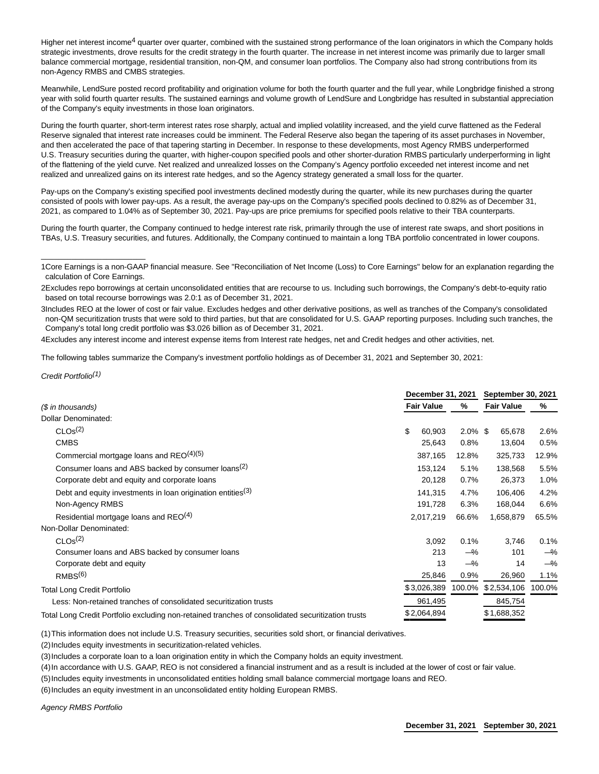Higher net interest income<sup>4</sup> quarter over quarter, combined with the sustained strong performance of the loan originators in which the Company holds strategic investments, drove results for the credit strategy in the fourth quarter. The increase in net interest income was primarily due to larger small balance commercial mortgage, residential transition, non-QM, and consumer loan portfolios. The Company also had strong contributions from its non-Agency RMBS and CMBS strategies.

Meanwhile, LendSure posted record profitability and origination volume for both the fourth quarter and the full year, while Longbridge finished a strong year with solid fourth quarter results. The sustained earnings and volume growth of LendSure and Longbridge has resulted in substantial appreciation of the Company's equity investments in those loan originators.

During the fourth quarter, short-term interest rates rose sharply, actual and implied volatility increased, and the yield curve flattened as the Federal Reserve signaled that interest rate increases could be imminent. The Federal Reserve also began the tapering of its asset purchases in November, and then accelerated the pace of that tapering starting in December. In response to these developments, most Agency RMBS underperformed U.S. Treasury securities during the quarter, with higher-coupon specified pools and other shorter-duration RMBS particularly underperforming in light of the flattening of the yield curve. Net realized and unrealized losses on the Company's Agency portfolio exceeded net interest income and net realized and unrealized gains on its interest rate hedges, and so the Agency strategy generated a small loss for the quarter.

Pay-ups on the Company's existing specified pool investments declined modestly during the quarter, while its new purchases during the quarter consisted of pools with lower pay-ups. As a result, the average pay-ups on the Company's specified pools declined to 0.82% as of December 31, 2021, as compared to 1.04% as of September 30, 2021. Pay-ups are price premiums for specified pools relative to their TBA counterparts.

During the fourth quarter, the Company continued to hedge interest rate risk, primarily through the use of interest rate swaps, and short positions in TBAs, U.S. Treasury securities, and futures. Additionally, the Company continued to maintain a long TBA portfolio concentrated in lower coupons.

4Excludes any interest income and interest expense items from Interest rate hedges, net and Credit hedges and other activities, net.

The following tables summarize the Company's investment portfolio holdings as of December 31, 2021 and September 30, 2021:

Credit Portfolio(1)

\_\_\_\_\_\_\_\_\_\_\_\_\_\_\_\_\_\_\_\_\_\_\_\_

|                                                                                                   |                   | December 31, 2021 |            | <b>September 30, 2021</b> |        |  |  |
|---------------------------------------------------------------------------------------------------|-------------------|-------------------|------------|---------------------------|--------|--|--|
| (\$ in thousands)                                                                                 | <b>Fair Value</b> |                   | %          | <b>Fair Value</b>         | %      |  |  |
| Dollar Denominated:                                                                               |                   |                   |            |                           |        |  |  |
| CLOs <sup>(2)</sup>                                                                               | \$                | 60,903            | $2.0\%$ \$ | 65,678                    | 2.6%   |  |  |
| <b>CMBS</b>                                                                                       |                   | 25,643            | 0.8%       | 13,604                    | 0.5%   |  |  |
| Commercial mortgage loans and REO <sup>(4)(5)</sup>                                               |                   | 387,165           | 12.8%      | 325,733                   | 12.9%  |  |  |
| Consumer loans and ABS backed by consumer loans <sup>(2)</sup>                                    |                   | 153,124           | 5.1%       | 138,568                   | 5.5%   |  |  |
| Corporate debt and equity and corporate loans                                                     |                   | 20,128            | 0.7%       | 26,373                    | 1.0%   |  |  |
| Debt and equity investments in loan origination entities <sup>(3)</sup>                           |                   | 141,315           | 4.7%       | 106,406                   | 4.2%   |  |  |
| Non-Agency RMBS                                                                                   |                   | 191,728           | 6.3%       | 168,044                   | 6.6%   |  |  |
| Residential mortgage loans and REO <sup>(4)</sup>                                                 |                   | 2,017,219         | 66.6%      | 1,658,879                 | 65.5%  |  |  |
| Non-Dollar Denominated:                                                                           |                   |                   |            |                           |        |  |  |
| CLOs <sup>(2)</sup>                                                                               |                   | 3,092             | 0.1%       | 3,746                     | 0.1%   |  |  |
| Consumer loans and ABS backed by consumer loans                                                   |                   | 213               | $-\%$      | 101                       | $-\%$  |  |  |
| Corporate debt and equity                                                                         |                   | 13                | $-\%$      | 14                        | $-\%$  |  |  |
| RMBS <sup>(6)</sup>                                                                               |                   | 25,846            | 0.9%       | 26,960                    | 1.1%   |  |  |
| <b>Total Long Credit Portfolio</b>                                                                |                   | \$3,026,389       | 100.0%     | \$2,534,106               | 100.0% |  |  |
| Less: Non-retained tranches of consolidated securitization trusts                                 |                   | 961,495           |            | 845,754                   |        |  |  |
| Total Long Credit Portfolio excluding non-retained tranches of consolidated securitization trusts |                   | \$2,064,894       |            | \$1,688,352               |        |  |  |

(1)This information does not include U.S. Treasury securities, securities sold short, or financial derivatives.

(2)Includes equity investments in securitization-related vehicles.

(3)Includes a corporate loan to a loan origination entity in which the Company holds an equity investment.

(4)In accordance with U.S. GAAP, REO is not considered a financial instrument and as a result is included at the lower of cost or fair value.

(5)Includes equity investments in unconsolidated entities holding small balance commercial mortgage loans and REO.

(6)Includes an equity investment in an unconsolidated entity holding European RMBS.

Agency RMBS Portfolio

<sup>1</sup>Core Earnings is a non-GAAP financial measure. See "Reconciliation of Net Income (Loss) to Core Earnings" below for an explanation regarding the calculation of Core Earnings.

<sup>2</sup>Excludes repo borrowings at certain unconsolidated entities that are recourse to us. Including such borrowings, the Company's debt-to-equity ratio based on total recourse borrowings was 2.0:1 as of December 31, 2021.

<sup>3</sup>Includes REO at the lower of cost or fair value. Excludes hedges and other derivative positions, as well as tranches of the Company's consolidated non-QM securitization trusts that were sold to third parties, but that are consolidated for U.S. GAAP reporting purposes. Including such tranches, the Company's total long credit portfolio was \$3.026 billion as of December 31, 2021.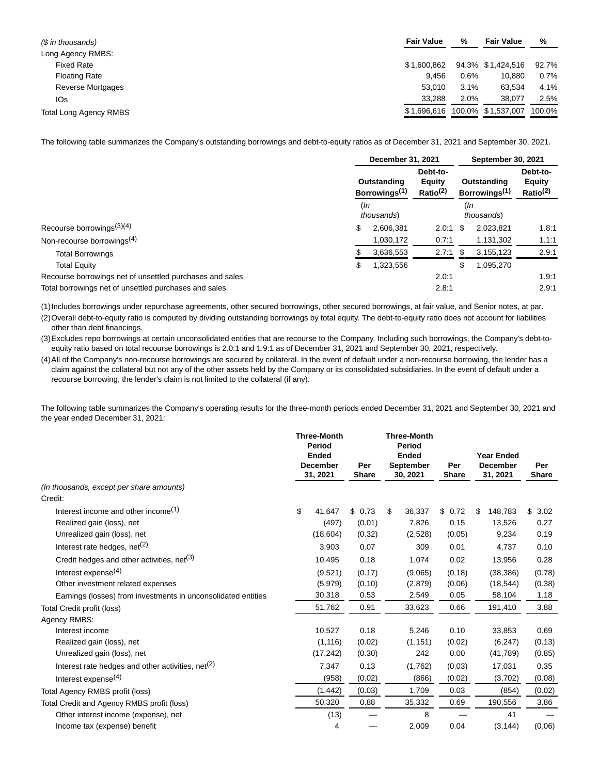| (\$ in thousands)             | <b>Fair Value</b> | %    | <b>Fair Value</b>  | %      |
|-------------------------------|-------------------|------|--------------------|--------|
| Long Agency RMBS:             |                   |      |                    |        |
| <b>Fixed Rate</b>             | \$1,600.862       |      | 94.3% \$1.424.516  | 92.7%  |
| <b>Floating Rate</b>          | 9.456             | 0.6% | 10.880             | 0.7%   |
| <b>Reverse Mortgages</b>      | 53.010            | 3.1% | 63.534             | 4.1%   |
| IO <sub>S</sub>               | 33.288            | 2.0% | 38.077             | 2.5%   |
| <b>Total Long Agency RMBS</b> | \$1.696.616       |      | 100.0% \$1,537,007 | 100.0% |

The following table summarizes the Company's outstanding borrowings and debt-to-equity ratios as of December 31, 2021 and September 30, 2021.

|                                                          |                   | December 31, 2021                        |                                                   |                                          | September 30, 2021 |                                                   |  |
|----------------------------------------------------------|-------------------|------------------------------------------|---------------------------------------------------|------------------------------------------|--------------------|---------------------------------------------------|--|
|                                                          |                   | Outstanding<br>Borrowings <sup>(1)</sup> | Debt-to-<br><b>Equity</b><br>Ratio <sup>(2)</sup> | Outstanding<br>Borrowings <sup>(1)</sup> |                    | Debt-to-<br><b>Equity</b><br>Ratio <sup>(2)</sup> |  |
|                                                          | (In<br>thousands) |                                          | (In<br>thousands)                                 |                                          |                    |                                                   |  |
| Recourse borrowings <sup>(3)(4)</sup>                    | \$                | 2,606,381                                | 2.0:1                                             | S                                        | 2,023,821          | 1.8.1                                             |  |
| Non-recourse borrowings <sup>(4)</sup>                   |                   | 1,030,172                                | 0.7:1                                             |                                          | 1,131,302          | 1.1:1                                             |  |
| <b>Total Borrowings</b>                                  |                   | 3,636,553                                | 2.7:1                                             | \$                                       | 3,155,123          | 2.9:1                                             |  |
| <b>Total Equity</b>                                      | \$                | 1,323,556                                |                                                   | S                                        | 1,095,270          |                                                   |  |
| Recourse borrowings net of unsettled purchases and sales |                   |                                          | 2.0:1                                             |                                          |                    | 1.9:1                                             |  |
| Total borrowings net of unsettled purchases and sales    |                   |                                          | 2.8:1                                             |                                          |                    | 2.9:1                                             |  |

(1)Includes borrowings under repurchase agreements, other secured borrowings, other secured borrowings, at fair value, and Senior notes, at par. (2)Overall debt-to-equity ratio is computed by dividing outstanding borrowings by total equity. The debt-to-equity ratio does not account for liabilities

other than debt financings.

(3)Excludes repo borrowings at certain unconsolidated entities that are recourse to the Company. Including such borrowings, the Company's debt-toequity ratio based on total recourse borrowings is 2.0:1 and 1.9:1 as of December 31, 2021 and September 30, 2021, respectively.

(4)All of the Company's non-recourse borrowings are secured by collateral. In the event of default under a non-recourse borrowing, the lender has a claim against the collateral but not any of the other assets held by the Company or its consolidated subsidiaries. In the event of default under a recourse borrowing, the lender's claim is not limited to the collateral (if any).

The following table summarizes the Company's operating results for the three-month periods ended December 31, 2021 and September 30, 2021 and the year ended December 31, 2021:

|                                                               | <b>Three-Month</b><br>Period<br><b>Ended</b><br><b>December</b><br>31, 2021 | Per<br><b>Share</b> | <b>Three-Month</b><br>Period<br><b>Ended</b><br><b>September</b><br>30, 2021 |          |        |               |            |  | Per<br><b>Share</b> | <b>Year Ended</b><br><b>December</b><br>31, 2021 | Per<br><b>Share</b> |
|---------------------------------------------------------------|-----------------------------------------------------------------------------|---------------------|------------------------------------------------------------------------------|----------|--------|---------------|------------|--|---------------------|--------------------------------------------------|---------------------|
| (In thousands, except per share amounts)                      |                                                                             |                     |                                                                              |          |        |               |            |  |                     |                                                  |                     |
| Credit:                                                       |                                                                             |                     |                                                                              |          |        |               |            |  |                     |                                                  |                     |
| Interest income and other income $(1)$                        | \$<br>41,647                                                                | \$0.73              | \$                                                                           | 36,337   | \$0.72 | \$<br>148,783 | \$<br>3.02 |  |                     |                                                  |                     |
| Realized gain (loss), net                                     | (497)                                                                       | (0.01)              |                                                                              | 7,826    | 0.15   | 13,526        | 0.27       |  |                     |                                                  |                     |
| Unrealized gain (loss), net                                   | (18,604)                                                                    | (0.32)              |                                                                              | (2,528)  | (0.05) | 9,234         | 0.19       |  |                     |                                                  |                     |
| Interest rate hedges, $net(2)$                                | 3,903                                                                       | 0.07                |                                                                              | 309      | 0.01   | 4,737         | 0.10       |  |                     |                                                  |                     |
| Credit hedges and other activities, net <sup>(3)</sup>        | 10,495                                                                      | 0.18                |                                                                              | 1,074    | 0.02   | 13,956        | 0.28       |  |                     |                                                  |                     |
| Interest expense $(4)$                                        | (9,521)                                                                     | (0.17)              |                                                                              | (9,065)  | (0.18) | (38, 386)     | (0.78)     |  |                     |                                                  |                     |
| Other investment related expenses                             | (5,979)                                                                     | (0.10)              |                                                                              | (2,879)  | (0.06) | (18, 544)     | (0.38)     |  |                     |                                                  |                     |
| Earnings (losses) from investments in unconsolidated entities | 30,318                                                                      | 0.53                |                                                                              | 2,549    | 0.05   | 58,104        | 1.18       |  |                     |                                                  |                     |
| Total Credit profit (loss)                                    | 51,762                                                                      | 0.91                |                                                                              | 33,623   | 0.66   | 191,410       | 3.88       |  |                     |                                                  |                     |
| Agency RMBS:                                                  |                                                                             |                     |                                                                              |          |        |               |            |  |                     |                                                  |                     |
| Interest income                                               | 10,527                                                                      | 0.18                |                                                                              | 5,246    | 0.10   | 33,853        | 0.69       |  |                     |                                                  |                     |
| Realized gain (loss), net                                     | (1, 116)                                                                    | (0.02)              |                                                                              | (1, 151) | (0.02) | (6, 247)      | (0.13)     |  |                     |                                                  |                     |
| Unrealized gain (loss), net                                   | (17, 242)                                                                   | (0.30)              |                                                                              | 242      | 0.00   | (41,789)      | (0.85)     |  |                     |                                                  |                     |
| Interest rate hedges and other activities, $net(2)$           | 7,347                                                                       | 0.13                |                                                                              | (1,762)  | (0.03) | 17,031        | 0.35       |  |                     |                                                  |                     |
| Interest expense $(4)$                                        | (958)                                                                       | (0.02)              |                                                                              | (866)    | (0.02) | (3,702)       | (0.08)     |  |                     |                                                  |                     |
| Total Agency RMBS profit (loss)                               | (1, 442)                                                                    | (0.03)              |                                                                              | 1,709    | 0.03   | (854)         | (0.02)     |  |                     |                                                  |                     |
| Total Credit and Agency RMBS profit (loss)                    | 50,320                                                                      | 0.88                |                                                                              | 35,332   | 0.69   | 190,556       | 3.86       |  |                     |                                                  |                     |
| Other interest income (expense), net                          | (13)                                                                        |                     |                                                                              | 8        |        | 41            |            |  |                     |                                                  |                     |
| Income tax (expense) benefit                                  | 4                                                                           |                     |                                                                              | 2,009    | 0.04   | (3, 144)      | (0.06)     |  |                     |                                                  |                     |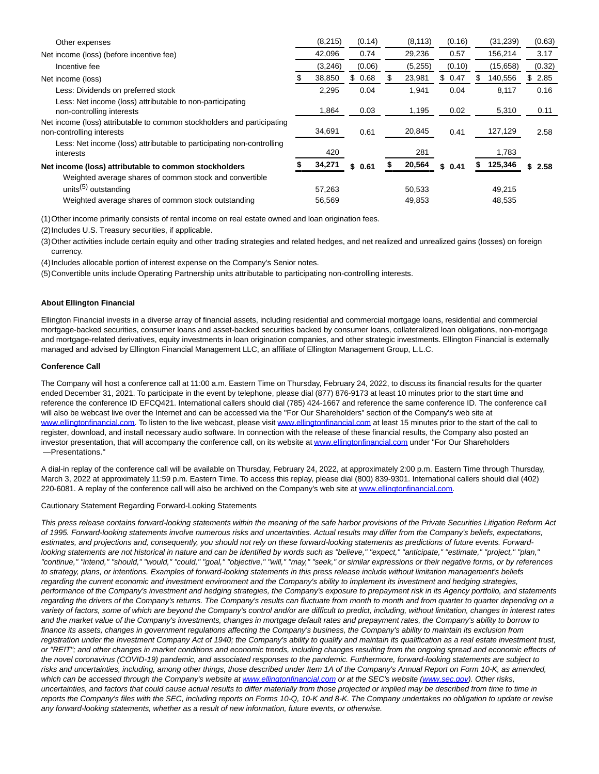| (8, 215) | (0.14)     | (8, 113) | (0.16) |    | (31, 239) |     |                                                                    |
|----------|------------|----------|--------|----|-----------|-----|--------------------------------------------------------------------|
| 42,096   | 0.74       | 29,236   | 0.57   |    | 156,214   |     |                                                                    |
| (3,246)  | (0.06)     | (5,255)  | (0.10) |    | (15,658)  |     |                                                                    |
| 38,850   | 0.68<br>\$ | 23,981   | \$0.47 | S. | 140,556   | SS. |                                                                    |
| 2,295    | 0.04       | 1,941    | 0.04   |    | 8,117     |     |                                                                    |
| 1,864    | 0.03       | 1,195    | 0.02   |    | 5,310     |     |                                                                    |
| 34,691   | 0.61       | 20,845   | 0.41   |    | 127,129   |     |                                                                    |
| 420      |            | 281      |        |    | 1,783     |     |                                                                    |
| 34,271   | \$0.61     | 20,564   | \$0.41 |    | 125,346   |     |                                                                    |
|          |            |          |        |    |           |     |                                                                    |
| 57,263   |            | 50,533   |        |    | 49,215    |     |                                                                    |
| 56,569   |            | 49,853   |        |    | 48,535    |     |                                                                    |
|          |            |          |        |    |           |     | (0.63)<br>3.17<br>(0.32)<br>2.85<br>0.16<br>0.11<br>2.58<br>\$2.58 |

(1)Other income primarily consists of rental income on real estate owned and loan origination fees.

(2) Includes U.S. Treasury securities, if applicable.

(3)Other activities include certain equity and other trading strategies and related hedges, and net realized and unrealized gains (losses) on foreign currency.

(4) Includes allocable portion of interest expense on the Company's Senior notes.

(5)Convertible units include Operating Partnership units attributable to participating non-controlling interests.

#### **About Ellington Financial**

Ellington Financial invests in a diverse array of financial assets, including residential and commercial mortgage loans, residential and commercial mortgage-backed securities, consumer loans and asset-backed securities backed by consumer loans, collateralized loan obligations, non-mortgage and mortgage-related derivatives, equity investments in loan origination companies, and other strategic investments. Ellington Financial is externally managed and advised by Ellington Financial Management LLC, an affiliate of Ellington Management Group, L.L.C.

#### **Conference Call**

The Company will host a conference call at 11:00 a.m. Eastern Time on Thursday, February 24, 2022, to discuss its financial results for the quarter ended December 31, 2021. To participate in the event by telephone, please dial (877) 876-9173 at least 10 minutes prior to the start time and reference the conference ID EFCQ421. International callers should dial (785) 424-1667 and reference the same conference ID. The conference call will also be webcast live over the Internet and can be accessed via the "For Our Shareholders" section of the Company's web site at [www.ellingtonfinancial.com.](https://cts.businesswire.com/ct/CT?id=smartlink&url=http%3A%2F%2Fwww.ellingtonfinancial.com&esheet=52584464&newsitemid=20220223006151&lan=en-US&anchor=www.ellingtonfinancial.com&index=1&md5=0704f640eca08804b59d4719e3964b6f) To listen to the live webcast, please visit [www.ellingtonfinancial.com a](https://cts.businesswire.com/ct/CT?id=smartlink&url=http%3A%2F%2Fwww.ellingtonfinancial.com&esheet=52584464&newsitemid=20220223006151&lan=en-US&anchor=www.ellingtonfinancial.com&index=2&md5=56221be627590536b72cb125056b5a1c)t least 15 minutes prior to the start of the call to register, download, and install necessary audio software. In connection with the release of these financial results, the Company also posted an investor presentation, that will accompany the conference call, on its website a[t www.ellingtonfinancial.com u](https://cts.businesswire.com/ct/CT?id=smartlink&url=http%3A%2F%2Fwww.ellingtonfinancial.com&esheet=52584464&newsitemid=20220223006151&lan=en-US&anchor=www.ellingtonfinancial.com&index=3&md5=6214eadb21fd84f84684e08d788c0363)nder "For Our Shareholders —Presentations."

A dial-in replay of the conference call will be available on Thursday, February 24, 2022, at approximately 2:00 p.m. Eastern Time through Thursday, March 3, 2022 at approximately 11:59 p.m. Eastern Time. To access this replay, please dial (800) 839-9301. International callers should dial (402) 220-6081. A replay of the conference call will also be archived on the Company's web site a[t www.ellingtonfinancial.com.](https://cts.businesswire.com/ct/CT?id=smartlink&url=http%3A%2F%2Fwww.ellingtonfinancial.com&esheet=52584464&newsitemid=20220223006151&lan=en-US&anchor=www.ellingtonfinancial.com&index=4&md5=689b2182c30268e5949a2e336fd5007a)

Cautionary Statement Regarding Forward-Looking Statements

This press release contains forward-looking statements within the meaning of the safe harbor provisions of the Private Securities Litigation Reform Act of 1995. Forward-looking statements involve numerous risks and uncertainties. Actual results may differ from the Company's beliefs, expectations, estimates, and projections and, consequently, you should not rely on these forward-looking statements as predictions of future events. Forwardlooking statements are not historical in nature and can be identified by words such as "believe," "expect," "anticipate," "estimate," "project," "plan,' "continue," "intend," "should," "would," "could," "goal," "objective," "will," "may," "seek," or similar expressions or their negative forms, or by references to strategy, plans, or intentions. Examples of forward-looking statements in this press release include without limitation management's beliefs regarding the current economic and investment environment and the Company's ability to implement its investment and hedging strategies, performance of the Company's investment and hedging strategies, the Company's exposure to prepayment risk in its Agency portfolio, and statements regarding the drivers of the Company's returns. The Company's results can fluctuate from month to month and from quarter to quarter depending on a variety of factors, some of which are beyond the Company's control and/or are difficult to predict, including, without limitation, changes in interest rates and the market value of the Company's investments, changes in mortgage default rates and prepayment rates, the Company's ability to borrow to finance its assets, changes in government regulations affecting the Company's business, the Company's ability to maintain its exclusion from registration under the Investment Company Act of 1940; the Company's ability to qualify and maintain its qualification as a real estate investment trust, or "REIT"; and other changes in market conditions and economic trends, including changes resulting from the ongoing spread and economic effects of the novel coronavirus (COVID-19) pandemic, and associated responses to the pandemic. Furthermore, forward-looking statements are subject to risks and uncertainties, including, among other things, those described under Item 1A of the Company's Annual Report on Form 10-K, as amended, which can be accessed through the Company's website at [www.ellingtonfinancial.com o](https://cts.businesswire.com/ct/CT?id=smartlink&url=http%3A%2F%2Fwww.ellingtonfinancial.com&esheet=52584464&newsitemid=20220223006151&lan=en-US&anchor=www.ellingtonfinancial.com&index=5&md5=116a7b2f099cd41688f20d69910b597c)r at the SEC's website [\(www.sec.gov\).](https://cts.businesswire.com/ct/CT?id=smartlink&url=http%3A%2F%2Fwww.sec.gov&esheet=52584464&newsitemid=20220223006151&lan=en-US&anchor=www.sec.gov&index=6&md5=94518ea248952d3d409038d7418a6269) Other risks, uncertainties, and factors that could cause actual results to differ materially from those projected or implied may be described from time to time in reports the Company's files with the SEC, including reports on Forms 10-Q, 10-K and 8-K. The Company undertakes no obligation to update or revise any forward-looking statements, whether as a result of new information, future events, or otherwise.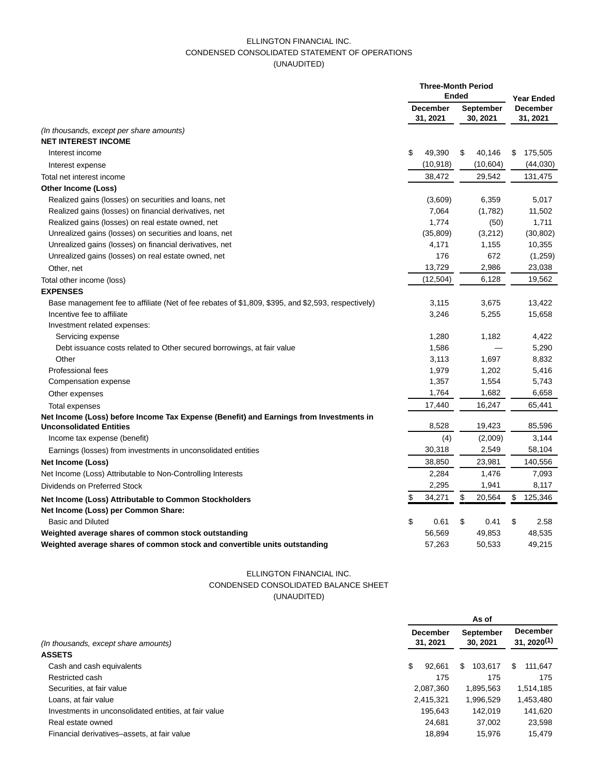## ELLINGTON FINANCIAL INC. CONDENSED CONSOLIDATED STATEMENT OF OPERATIONS (UNAUDITED)

|                                                                                                    |                             | <b>Three-Month Period</b><br><b>Ended</b> |    |                              |                             | <b>Year Ended</b> |  |
|----------------------------------------------------------------------------------------------------|-----------------------------|-------------------------------------------|----|------------------------------|-----------------------------|-------------------|--|
|                                                                                                    | <b>December</b><br>31, 2021 |                                           |    | <b>September</b><br>30, 2021 | <b>December</b><br>31, 2021 |                   |  |
| (In thousands, except per share amounts)                                                           |                             |                                           |    |                              |                             |                   |  |
| <b>NET INTEREST INCOME</b>                                                                         |                             |                                           |    |                              |                             |                   |  |
| Interest income                                                                                    | \$                          | 49,390                                    | \$ | 40,146                       | \$                          | 175,505           |  |
| Interest expense                                                                                   |                             | (10, 918)                                 |    | (10,604)                     |                             | (44,030)          |  |
| Total net interest income                                                                          |                             | 38,472                                    |    | 29,542                       |                             | 131,475           |  |
| Other Income (Loss)                                                                                |                             |                                           |    |                              |                             |                   |  |
| Realized gains (losses) on securities and loans, net                                               |                             | (3,609)                                   |    | 6,359                        |                             | 5,017             |  |
| Realized gains (losses) on financial derivatives, net                                              |                             | 7,064                                     |    | (1,782)                      |                             | 11,502            |  |
| Realized gains (losses) on real estate owned, net                                                  |                             | 1,774                                     |    | (50)                         |                             | 1,711             |  |
| Unrealized gains (losses) on securities and loans, net                                             |                             | (35, 809)                                 |    | (3,212)                      |                             | (30, 802)         |  |
| Unrealized gains (losses) on financial derivatives, net                                            |                             | 4,171                                     |    | 1,155                        |                             | 10,355            |  |
| Unrealized gains (losses) on real estate owned, net                                                |                             | 176                                       |    | 672                          |                             | (1,259)           |  |
| Other, net                                                                                         |                             | 13,729                                    |    | 2,986                        |                             | 23,038            |  |
| Total other income (loss)                                                                          |                             | (12, 504)                                 |    | 6,128                        |                             | 19,562            |  |
| <b>EXPENSES</b>                                                                                    |                             |                                           |    |                              |                             |                   |  |
| Base management fee to affiliate (Net of fee rebates of \$1,809, \$395, and \$2,593, respectively) |                             | 3,115                                     |    | 3,675                        |                             | 13,422            |  |
| Incentive fee to affiliate                                                                         |                             | 3,246                                     |    | 5,255                        |                             | 15,658            |  |
| Investment related expenses:                                                                       |                             |                                           |    |                              |                             |                   |  |
| Servicing expense                                                                                  |                             | 1,280                                     |    | 1,182                        |                             | 4,422             |  |
| Debt issuance costs related to Other secured borrowings, at fair value                             |                             | 1,586                                     |    |                              |                             | 5,290             |  |
| Other                                                                                              |                             | 3,113                                     |    | 1,697                        |                             | 8,832             |  |
| <b>Professional fees</b>                                                                           |                             | 1,979                                     |    | 1,202                        |                             | 5,416             |  |
| Compensation expense                                                                               |                             | 1,357                                     |    | 1,554                        |                             | 5,743             |  |
| Other expenses                                                                                     |                             | 1,764                                     |    | 1,682                        |                             | 6,658             |  |
| Total expenses                                                                                     |                             | 17,440                                    |    | 16,247                       |                             | 65,441            |  |
| Net Income (Loss) before Income Tax Expense (Benefit) and Earnings from Investments in             |                             |                                           |    |                              |                             |                   |  |
| <b>Unconsolidated Entities</b>                                                                     |                             | 8,528                                     |    | 19,423                       |                             | 85,596            |  |
| Income tax expense (benefit)                                                                       |                             | (4)                                       |    | (2,009)                      |                             | 3,144             |  |
| Earnings (losses) from investments in unconsolidated entities                                      |                             | 30,318                                    |    | 2,549                        |                             | 58,104            |  |
| Net Income (Loss)                                                                                  |                             | 38,850                                    |    | 23,981                       |                             | 140,556           |  |
| Net Income (Loss) Attributable to Non-Controlling Interests                                        |                             | 2,284                                     |    | 1,476                        |                             | 7,093             |  |
| Dividends on Preferred Stock                                                                       |                             | 2,295                                     |    | 1,941                        |                             | 8,117             |  |
| Net Income (Loss) Attributable to Common Stockholders                                              | \$                          | 34,271                                    | \$ | 20,564                       | \$                          | 125,346           |  |
| Net Income (Loss) per Common Share:                                                                |                             |                                           |    |                              |                             |                   |  |
| <b>Basic and Diluted</b>                                                                           | \$                          | 0.61                                      | \$ | 0.41                         | \$                          | 2.58              |  |
| Weighted average shares of common stock outstanding                                                |                             | 56,569                                    |    | 49,853                       |                             | 48,535            |  |
| Weighted average shares of common stock and convertible units outstanding                          |                             | 57,263                                    |    | 50,533                       |                             | 49,215            |  |

## ELLINGTON FINANCIAL INC. CONDENSED CONSOLIDATED BALANCE SHEET (UNAUDITED)

|                                                       |                             | As of                        |                                            |  |  |  |  |  |  |  |  |
|-------------------------------------------------------|-----------------------------|------------------------------|--------------------------------------------|--|--|--|--|--|--|--|--|
| (In thousands, except share amounts)                  | <b>December</b><br>31, 2021 | <b>September</b><br>30, 2021 | <b>December</b><br>31, 2020 <sup>(1)</sup> |  |  |  |  |  |  |  |  |
| <b>ASSETS</b>                                         |                             |                              |                                            |  |  |  |  |  |  |  |  |
| Cash and cash equivalents                             | \$<br>92,661                | 103.617<br>S.                | S<br>111.647                               |  |  |  |  |  |  |  |  |
| Restricted cash                                       | 175                         | 175                          | 175                                        |  |  |  |  |  |  |  |  |
| Securities, at fair value                             | 2,087,360                   | 1,895,563                    | 1,514,185                                  |  |  |  |  |  |  |  |  |
| Loans, at fair value                                  | 2,415,321                   | 1,996,529                    | 1,453,480                                  |  |  |  |  |  |  |  |  |
| Investments in unconsolidated entities, at fair value | 195.643                     | 142.019                      | 141,620                                    |  |  |  |  |  |  |  |  |
| Real estate owned                                     | 24,681                      | 37.002                       | 23,598                                     |  |  |  |  |  |  |  |  |
| Financial derivatives-assets, at fair value           | 18.894                      | 15.976                       | 15,479                                     |  |  |  |  |  |  |  |  |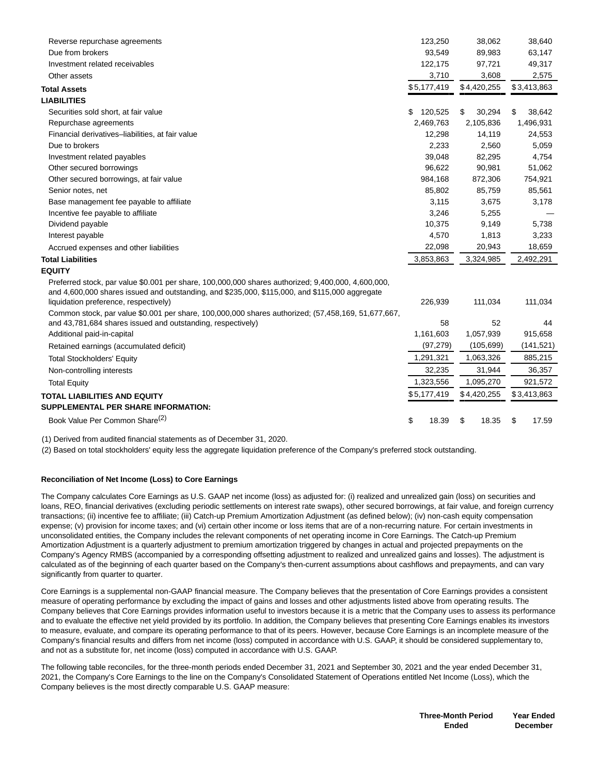| Reverse repurchase agreements                                                                                                                                                                                                                                                                                                                       | 123,250       | 38,062       | 38,640       |
|-----------------------------------------------------------------------------------------------------------------------------------------------------------------------------------------------------------------------------------------------------------------------------------------------------------------------------------------------------|---------------|--------------|--------------|
| Due from brokers                                                                                                                                                                                                                                                                                                                                    | 93,549        | 89,983       | 63,147       |
| Investment related receivables                                                                                                                                                                                                                                                                                                                      | 122,175       | 97,721       | 49,317       |
| Other assets                                                                                                                                                                                                                                                                                                                                        | 3,710         | 3,608        | 2,575        |
| <b>Total Assets</b>                                                                                                                                                                                                                                                                                                                                 | \$5,177,419   | \$4,420,255  | \$3,413,863  |
| <b>LIABILITIES</b>                                                                                                                                                                                                                                                                                                                                  |               |              |              |
| Securities sold short, at fair value                                                                                                                                                                                                                                                                                                                | \$<br>120,525 | \$<br>30,294 | \$<br>38,642 |
| Repurchase agreements                                                                                                                                                                                                                                                                                                                               | 2,469,763     | 2,105,836    | 1,496,931    |
| Financial derivatives-liabilities, at fair value                                                                                                                                                                                                                                                                                                    | 12,298        | 14,119       | 24,553       |
| Due to brokers                                                                                                                                                                                                                                                                                                                                      | 2,233         | 2,560        | 5,059        |
| Investment related payables                                                                                                                                                                                                                                                                                                                         | 39,048        | 82,295       | 4,754        |
| Other secured borrowings                                                                                                                                                                                                                                                                                                                            | 96,622        | 90,981       | 51,062       |
| Other secured borrowings, at fair value                                                                                                                                                                                                                                                                                                             | 984,168       | 872,306      | 754,921      |
| Senior notes, net                                                                                                                                                                                                                                                                                                                                   | 85,802        | 85,759       | 85,561       |
| Base management fee payable to affiliate                                                                                                                                                                                                                                                                                                            | 3,115         | 3,675        | 3,178        |
| Incentive fee payable to affiliate                                                                                                                                                                                                                                                                                                                  | 3,246         | 5,255        |              |
| Dividend payable                                                                                                                                                                                                                                                                                                                                    | 10,375        | 9,149        | 5,738        |
| Interest payable                                                                                                                                                                                                                                                                                                                                    | 4,570         | 1,813        | 3,233        |
| Accrued expenses and other liabilities                                                                                                                                                                                                                                                                                                              | 22,098        | 20,943       | 18,659       |
| <b>Total Liabilities</b>                                                                                                                                                                                                                                                                                                                            | 3,853,863     | 3,324,985    | 2,492,291    |
| <b>EQUITY</b>                                                                                                                                                                                                                                                                                                                                       |               |              |              |
| Preferred stock, par value \$0.001 per share, 100,000,000 shares authorized; 9,400,000, 4,600,000,<br>and 4,600,000 shares issued and outstanding, and \$235,000, \$115,000, and \$115,000 aggregate<br>liquidation preference, respectively)<br>Common stock, par value \$0.001 per share, 100,000,000 shares authorized; (57,458,169, 51,677,667, | 226,939       | 111,034      | 111,034      |
| and 43,781,684 shares issued and outstanding, respectively)                                                                                                                                                                                                                                                                                         | 58            | 52           | 44           |
| Additional paid-in-capital                                                                                                                                                                                                                                                                                                                          | 1,161,603     | 1,057,939    | 915,658      |
| Retained earnings (accumulated deficit)                                                                                                                                                                                                                                                                                                             | (97, 279)     | (105, 699)   | (141, 521)   |
| <b>Total Stockholders' Equity</b>                                                                                                                                                                                                                                                                                                                   | 1,291,321     | 1,063,326    | 885,215      |
| Non-controlling interests                                                                                                                                                                                                                                                                                                                           | 32,235        | 31,944       | 36,357       |
| <b>Total Equity</b>                                                                                                                                                                                                                                                                                                                                 | 1,323,556     | 1,095,270    | 921,572      |
| <b>TOTAL LIABILITIES AND EQUITY</b>                                                                                                                                                                                                                                                                                                                 | \$5,177,419   | \$4,420,255  | \$3,413,863  |
| <b>SUPPLEMENTAL PER SHARE INFORMATION:</b>                                                                                                                                                                                                                                                                                                          |               |              |              |
| Book Value Per Common Share <sup>(2)</sup>                                                                                                                                                                                                                                                                                                          | \$<br>18.39   | \$<br>18.35  | \$<br>17.59  |
|                                                                                                                                                                                                                                                                                                                                                     |               |              |              |

(1) Derived from audited financial statements as of December 31, 2020.

(2) Based on total stockholders' equity less the aggregate liquidation preference of the Company's preferred stock outstanding.

#### **Reconciliation of Net Income (Loss) to Core Earnings**

The Company calculates Core Earnings as U.S. GAAP net income (loss) as adjusted for: (i) realized and unrealized gain (loss) on securities and loans, REO, financial derivatives (excluding periodic settlements on interest rate swaps), other secured borrowings, at fair value, and foreign currency transactions; (ii) incentive fee to affiliate; (iii) Catch-up Premium Amortization Adjustment (as defined below); (iv) non-cash equity compensation expense; (v) provision for income taxes; and (vi) certain other income or loss items that are of a non-recurring nature. For certain investments in unconsolidated entities, the Company includes the relevant components of net operating income in Core Earnings. The Catch-up Premium Amortization Adjustment is a quarterly adjustment to premium amortization triggered by changes in actual and projected prepayments on the Company's Agency RMBS (accompanied by a corresponding offsetting adjustment to realized and unrealized gains and losses). The adjustment is calculated as of the beginning of each quarter based on the Company's then-current assumptions about cashflows and prepayments, and can vary significantly from quarter to quarter.

Core Earnings is a supplemental non-GAAP financial measure. The Company believes that the presentation of Core Earnings provides a consistent measure of operating performance by excluding the impact of gains and losses and other adjustments listed above from operating results. The Company believes that Core Earnings provides information useful to investors because it is a metric that the Company uses to assess its performance and to evaluate the effective net yield provided by its portfolio. In addition, the Company believes that presenting Core Earnings enables its investors to measure, evaluate, and compare its operating performance to that of its peers. However, because Core Earnings is an incomplete measure of the Company's financial results and differs from net income (loss) computed in accordance with U.S. GAAP, it should be considered supplementary to, and not as a substitute for, net income (loss) computed in accordance with U.S. GAAP.

The following table reconciles, for the three-month periods ended December 31, 2021 and September 30, 2021 and the year ended December 31, 2021, the Company's Core Earnings to the line on the Company's Consolidated Statement of Operations entitled Net Income (Loss), which the Company believes is the most directly comparable U.S. GAAP measure: